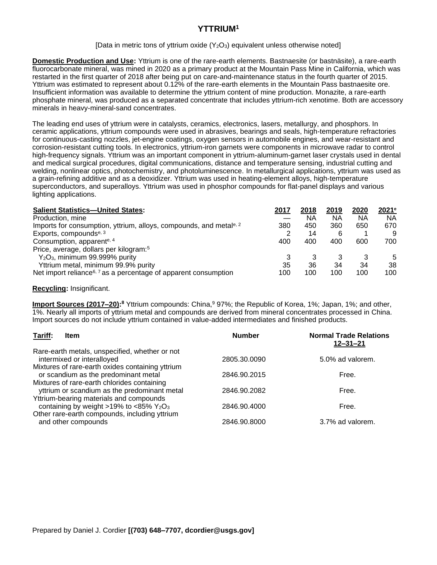# **YTTRIUM<sup>1</sup>**

### [Data in metric tons of yttrium oxide  $(Y_2O_3)$  equivalent unless otherwise noted]

**Domestic Production and Use:** Yttrium is one of the rare-earth elements. Bastnaesite (or bastnäsite), a rare-earth fluorocarbonate mineral, was mined in 2020 as a primary product at the Mountain Pass Mine in California, which was restarted in the first quarter of 2018 after being put on care-and-maintenance status in the fourth quarter of 2015. Yttrium was estimated to represent about 0.12% of the rare-earth elements in the Mountain Pass bastnaesite ore. Insufficient information was available to determine the yttrium content of mine production. Monazite, a rare-earth phosphate mineral, was produced as a separated concentrate that includes yttrium-rich xenotime. Both are accessory minerals in heavy-mineral-sand concentrates.

The leading end uses of yttrium were in catalysts, ceramics, electronics, lasers, metallurgy, and phosphors. In ceramic applications, yttrium compounds were used in abrasives, bearings and seals, high-temperature refractories for continuous-casting nozzles, jet-engine coatings, oxygen sensors in automobile engines, and wear-resistant and corrosion-resistant cutting tools. In electronics, yttrium-iron garnets were components in microwave radar to control high-frequency signals. Yttrium was an important component in yttrium-aluminum-garnet laser crystals used in dental and medical surgical procedures, digital communications, distance and temperature sensing, industrial cutting and welding, nonlinear optics, photochemistry, and photoluminescence. In metallurgical applications, yttrium was used as a grain-refining additive and as a deoxidizer. Yttrium was used in heating-element alloys, high-temperature superconductors, and superalloys. Yttrium was used in phosphor compounds for flat-panel displays and various lighting applications.

| <b>Salient Statistics-United States:</b>                                       | 2017 | 2018 | 2019 | 2020 | 2021 <sup>e</sup> |
|--------------------------------------------------------------------------------|------|------|------|------|-------------------|
| Production, mine                                                               |      | ΝA   | ΝA   | ΝA   | ΝA                |
| Imports for consumption, yttrium, alloys, compounds, and metal <sup>e, 2</sup> | 380  | 450  | 360  | 650  | 670               |
| Exports, compounds <sup>e, 3</sup>                                             | 2    | 14   | 6    |      | 9                 |
| Consumption, apparente, 4                                                      | 400  | 400  | 400  | 600  | 700               |
| Price, average, dollars per kilogram: <sup>5</sup>                             |      |      |      |      |                   |
| $Y_2O_3$ , minimum 99.999% purity                                              |      |      |      | 3    | 5                 |
| Yttrium metal, minimum 99.9% purity                                            | 35   | 36   | 34   | 34   | 38                |
| Net import reliance <sup>6, 7</sup> as a percentage of apparent consumption    | 100  | 100  | 100  | 100  | 100               |

### **Recycling:** Insignificant.

**Import Sources (2017–20):**<sup>8</sup> Yttrium compounds: China,<sup>9</sup> 97%; the Republic of Korea, 1%; Japan, 1%; and other, 1%. Nearly all imports of yttrium metal and compounds are derived from mineral concentrates processed in China. Import sources do not include yttrium contained in value-added intermediates and finished products.

| Tariff:<br><b>Item</b>                                                                      | <b>Number</b> | <b>Normal Trade Relations</b><br>$12 - 31 - 21$ |
|---------------------------------------------------------------------------------------------|---------------|-------------------------------------------------|
| Rare-earth metals, unspecified, whether or not<br>intermixed or interalloyed                | 2805.30.0090  | 5.0% ad valorem.                                |
| Mixtures of rare-earth oxides containing yttrium<br>or scandium as the predominant metal    | 2846.90.2015  | Free.                                           |
| Mixtures of rare-earth chlorides containing<br>yttrium or scandium as the predominant metal | 2846.90.2082  | Free.                                           |
| Yttrium-bearing materials and compounds<br>containing by weight >19% to <85% $Y_2O_3$       | 2846.90.4000  | Free.                                           |
| Other rare-earth compounds, including yttrium<br>and other compounds                        | 2846.90.8000  | 3.7% ad valorem.                                |